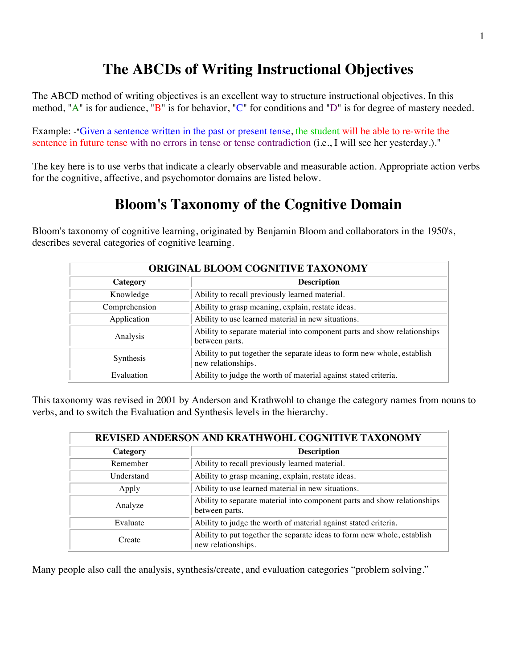## **The ABCDs of Writing Instructional Objectives**

The ABCD method of writing objectives is an excellent way to structure instructional objectives. In this method, "A" is for audience, "B" is for behavior, "C" for conditions and "D" is for degree of mastery needed.

Example: -"Given a sentence written in the past or present tense, the student will be able to re-write the sentence in future tense with no errors in tense or tense contradiction (i.e., I will see her yesterday.)."

The key here is to use verbs that indicate a clearly observable and measurable action. Appropriate action verbs for the cognitive, affective, and psychomotor domains are listed below.

# **Bloom's Taxonomy of the Cognitive Domain**

Bloom's taxonomy of cognitive learning, originated by Benjamin Bloom and collaborators in the 1950's, describes several categories of cognitive learning.

| ORIGINAL BLOOM COGNITIVE TAXONOMY                                  |                                                                                               |  |
|--------------------------------------------------------------------|-----------------------------------------------------------------------------------------------|--|
| Category                                                           | <b>Description</b>                                                                            |  |
| Knowledge                                                          | Ability to recall previously learned material.                                                |  |
| Ability to grasp meaning, explain, restate ideas.<br>Comprehension |                                                                                               |  |
| Application                                                        | Ability to use learned material in new situations.                                            |  |
| Analysis                                                           | Ability to separate material into component parts and show relationships<br>between parts.    |  |
| <b>Synthesis</b>                                                   | Ability to put together the separate ideas to form new whole, establish<br>new relationships. |  |
| Evaluation                                                         | Ability to judge the worth of material against stated criteria.                               |  |

This taxonomy was revised in 2001 by Anderson and Krathwohl to change the category names from nouns to verbs, and to switch the Evaluation and Synthesis levels in the hierarchy.

| REVISED ANDERSON AND KRATHWOHL COGNITIVE TAXONOMY |                                                                                               |  |  |
|---------------------------------------------------|-----------------------------------------------------------------------------------------------|--|--|
| Category                                          | <b>Description</b>                                                                            |  |  |
| Remember                                          | Ability to recall previously learned material.                                                |  |  |
| Understand                                        | Ability to grasp meaning, explain, restate ideas.                                             |  |  |
| Apply                                             | Ability to use learned material in new situations.                                            |  |  |
| Analyze                                           | Ability to separate material into component parts and show relationships<br>between parts.    |  |  |
| Evaluate                                          | Ability to judge the worth of material against stated criteria.                               |  |  |
| Create                                            | Ability to put together the separate ideas to form new whole, establish<br>new relationships. |  |  |

Many people also call the analysis, synthesis/create, and evaluation categories "problem solving."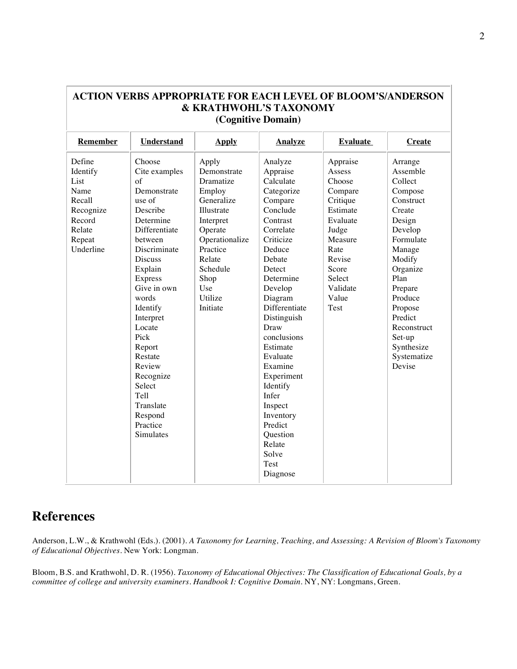| Remember  | <b>Understand</b> | <b>Apply</b>   | <b>Analyze</b> | <b>Evaluate</b> | <b>Create</b> |
|-----------|-------------------|----------------|----------------|-----------------|---------------|
| Define    | Choose            | Apply          | Analyze        | Appraise        | Arrange       |
| Identify  | Cite examples     | Demonstrate    | Appraise       | Assess          | Assemble      |
| List      | of                | Dramatize      | Calculate      | Choose          | Collect       |
| Name      | Demonstrate       | Employ         | Categorize     | Compare         | Compose       |
| Recall    | use of            | Generalize     | Compare        | Critique        | Construct     |
| Recognize | Describe          | Illustrate     | Conclude       | Estimate        | Create        |
| Record    | Determine         | Interpret      | Contrast       | Evaluate        | Design        |
| Relate    | Differentiate     | Operate        | Correlate      | Judge           | Develop       |
| Repeat    | between           | Operationalize | Criticize      | Measure         | Formulate     |
| Underline | Discriminate      | Practice       | Deduce         | Rate            | Manage        |
|           | <b>Discuss</b>    | Relate         | Debate         | Revise          | Modify        |
|           | Explain           | Schedule       | Detect         | Score           | Organize      |
|           | <b>Express</b>    | Shop           | Determine      | Select          | Plan          |
|           | Give in own       | Use            | Develop        | Validate        | Prepare       |
|           | words             | Utilize        | Diagram        | Value           | Produce       |
|           | Identify          | Initiate       | Differentiate  | Test            | Propose       |
|           | Interpret         |                | Distinguish    |                 | Predict       |
|           | Locate            |                | Draw           |                 | Reconstruct   |
|           | Pick              |                | conclusions    |                 | Set-up        |
|           | Report            |                | Estimate       |                 | Synthesize    |
|           | Restate           |                | Evaluate       |                 | Systematize   |
|           | Review            |                | Examine        |                 | Devise        |
|           | Recognize         |                | Experiment     |                 |               |
|           | Select            |                | Identify       |                 |               |
|           | Tell              |                | Infer          |                 |               |
|           | Translate         |                | Inspect        |                 |               |
|           | Respond           |                | Inventory      |                 |               |
|           | Practice          |                | Predict        |                 |               |
|           | Simulates         |                | Question       |                 |               |
|           |                   |                | Relate         |                 |               |
|           |                   |                | Solve          |                 |               |
|           |                   |                | Test           |                 |               |
|           |                   |                | Diagnose       |                 |               |

### **ACTION VERBS APPROPRIATE FOR EACH LEVEL OF BLOOM'S/ANDERSON & KRATHWOHL'S TAXONOMY**

#### **References**

Anderson, L.W., & Krathwohl (Eds.). (2001). *A Taxonomy for Learning, Teaching, and Assessing: A Revision of Bloom's Taxonomy of Educational Objectives*. New York: Longman.

Bloom, B.S. and Krathwohl, D. R. (1956). *Taxonomy of Educational Objectives: The Classification of Educational Goals, by a committee of college and university examiners. Handbook I: Cognitive Domain*. NY, NY: Longmans, Green.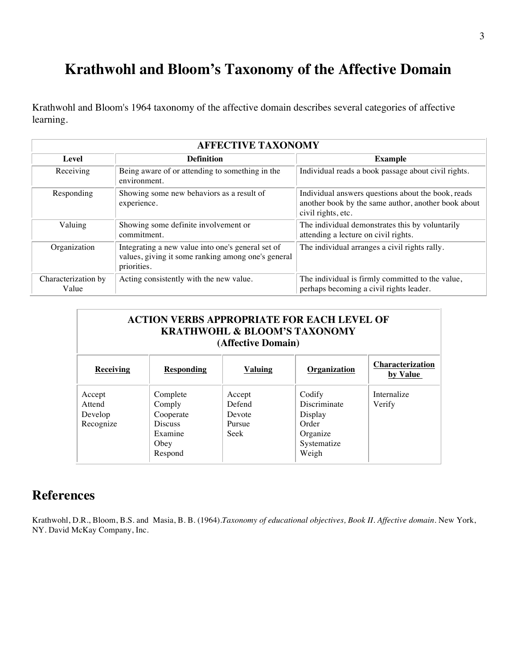## **Krathwohl and Bloom's Taxonomy of the Affective Domain**

Krathwohl and Bloom's 1964 taxonomy of the affective domain describes several categories of affective learning.

| <b>AFFECTIVE TAXONOMY</b>    |                                                                                                                        |                                                                                                                                 |  |
|------------------------------|------------------------------------------------------------------------------------------------------------------------|---------------------------------------------------------------------------------------------------------------------------------|--|
| Level                        | <b>Definition</b>                                                                                                      | <b>Example</b>                                                                                                                  |  |
| Receiving                    | Being aware of or attending to something in the<br>environment.                                                        | Individual reads a book passage about civil rights.                                                                             |  |
| Responding                   | Showing some new behaviors as a result of<br>experience.                                                               | Individual answers questions about the book, reads<br>another book by the same author, another book about<br>civil rights, etc. |  |
| Valuing                      | Showing some definite involvement or<br>commitment.                                                                    | The individual demonstrates this by voluntarily<br>attending a lecture on civil rights.                                         |  |
| Organization                 | Integrating a new value into one's general set of<br>values, giving it some ranking among one's general<br>priorities. | The individual arranges a civil rights rally.                                                                                   |  |
| Characterization by<br>Value | Acting consistently with the new value.                                                                                | The individual is firmly committed to the value,<br>perhaps becoming a civil rights leader.                                     |  |

| <b>ACTION VERBS APPROPRIATE FOR EACH LEVEL OF</b><br><b>KRATHWOHL &amp; BLOOM'S TAXONOMY</b><br>(Affective Domain) |                                                                                 |                                              |                                                                                |                                     |
|--------------------------------------------------------------------------------------------------------------------|---------------------------------------------------------------------------------|----------------------------------------------|--------------------------------------------------------------------------------|-------------------------------------|
| Receiving                                                                                                          | <b>Responding</b>                                                               | <b>Valuing</b>                               | Organization                                                                   | <b>Characterization</b><br>by Value |
| Accept<br>Attend<br>Develop<br>Recognize                                                                           | Complete<br>Comply<br>Cooperate<br><b>Discuss</b><br>Examine<br>Obey<br>Respond | Accept<br>Defend<br>Devote<br>Pursue<br>Seek | Codify<br>Discriminate<br>Display<br>Order<br>Organize<br>Systematize<br>Weigh | Internalize<br>Verify               |

#### **References**

Krathwohl, D.R., Bloom, B.S. and Masia, B. B. (1964).*Taxonomy of educational objectives, Book II. Affective domain.* New York, NY. David McKay Company, Inc.

 $\overline{\phantom{0}}$